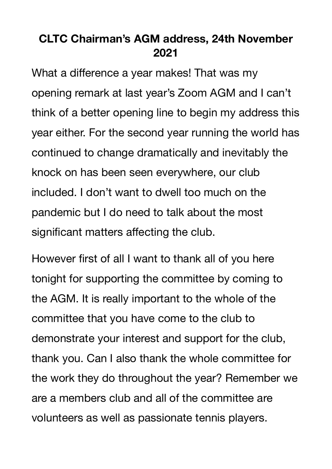## **CLTC Chairman's AGM address, 24th November 2021**

What a difference a year makes! That was my opening remark at last year's Zoom AGM and I can't think of a better opening line to begin my address this year either. For the second year running the world has continued to change dramatically and inevitably the knock on has been seen everywhere, our club included. I don't want to dwell too much on the pandemic but I do need to talk about the most significant matters affecting the club.

However first of all I want to thank all of you here tonight for supporting the committee by coming to the AGM. It is really important to the whole of the committee that you have come to the club to demonstrate your interest and support for the club, thank you. Can I also thank the whole committee for the work they do throughout the year? Remember we are a members club and all of the committee are volunteers as well as passionate tennis players.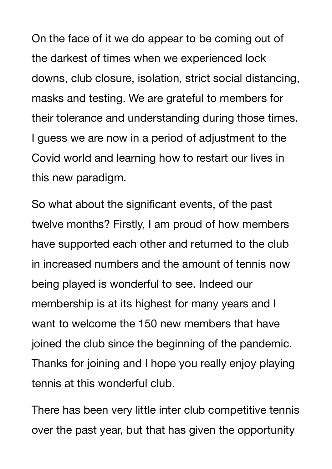On the face of it we do appear to be coming out of the darkest of times when we experienced lock downs, club closure, isolation, strict social distancing, masks and testing. We are grateful to members for their tolerance and understanding during those times. I guess we are now in a period of adjustment to the Covid world and learning how to restart our lives in this new paradigm.

So what about the significant events, of the past twelve months? Firstly, I am proud of how members have supported each other and returned to the club in increased numbers and the amount of tennis now being played is wonderful to see. Indeed our membership is at its highest for many years and I want to welcome the 150 new members that have joined the club since the beginning of the pandemic. Thanks for joining and I hope you really enjoy playing tennis at this wonderful club.

There has been very little inter club competitive tennis over the past year, but that has given the opportunity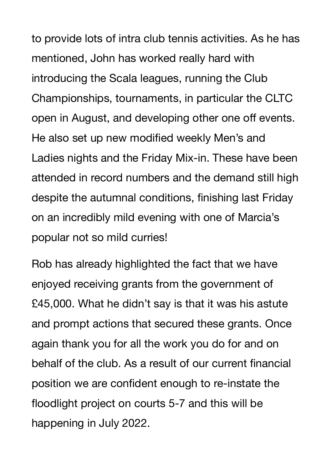to provide lots of intra club tennis activities. As he has mentioned, John has worked really hard with introducing the Scala leagues, running the Club Championships, tournaments, in particular the CLTC open in August, and developing other one off events. He also set up new modified weekly Men's and Ladies nights and the Friday Mix-in. These have been attended in record numbers and the demand still high despite the autumnal conditions, finishing last Friday on an incredibly mild evening with one of Marcia's popular not so mild curries!

Rob has already highlighted the fact that we have enjoyed receiving grants from the government of £45,000. What he didn't say is that it was his astute and prompt actions that secured these grants. Once again thank you for all the work you do for and on behalf of the club. As a result of our current financial position we are confident enough to re-instate the floodlight project on courts 5-7 and this will be happening in July 2022.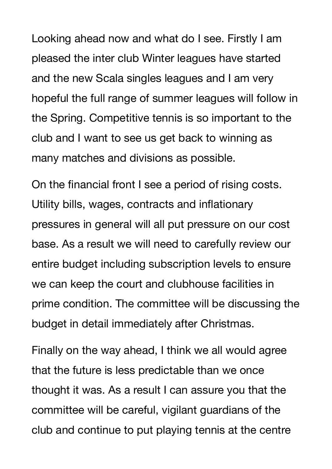Looking ahead now and what do I see. Firstly I am pleased the inter club Winter leagues have started and the new Scala singles leagues and I am very hopeful the full range of summer leagues will follow in the Spring. Competitive tennis is so important to the club and I want to see us get back to winning as many matches and divisions as possible.

On the financial front I see a period of rising costs. Utility bills, wages, contracts and inflationary pressures in general will all put pressure on our cost base. As a result we will need to carefully review our entire budget including subscription levels to ensure we can keep the court and clubhouse facilities in prime condition. The committee will be discussing the budget in detail immediately after Christmas.

Finally on the way ahead, I think we all would agree that the future is less predictable than we once thought it was. As a result I can assure you that the committee will be careful, vigilant guardians of the club and continue to put playing tennis at the centre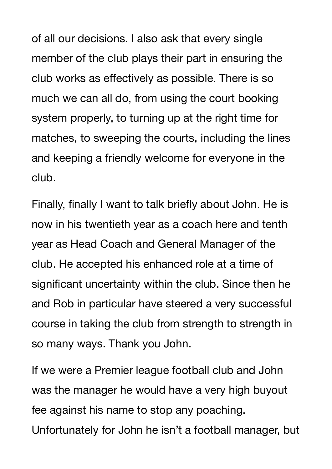of all our decisions. I also ask that every single member of the club plays their part in ensuring the club works as effectively as possible. There is so much we can all do, from using the court booking system properly, to turning up at the right time for matches, to sweeping the courts, including the lines and keeping a friendly welcome for everyone in the club.

Finally, finally I want to talk briefly about John. He is now in his twentieth year as a coach here and tenth year as Head Coach and General Manager of the club. He accepted his enhanced role at a time of significant uncertainty within the club. Since then he and Rob in particular have steered a very successful course in taking the club from strength to strength in so many ways. Thank you John.

If we were a Premier league football club and John was the manager he would have a very high buyout fee against his name to stop any poaching. Unfortunately for John he isn't a football manager, but